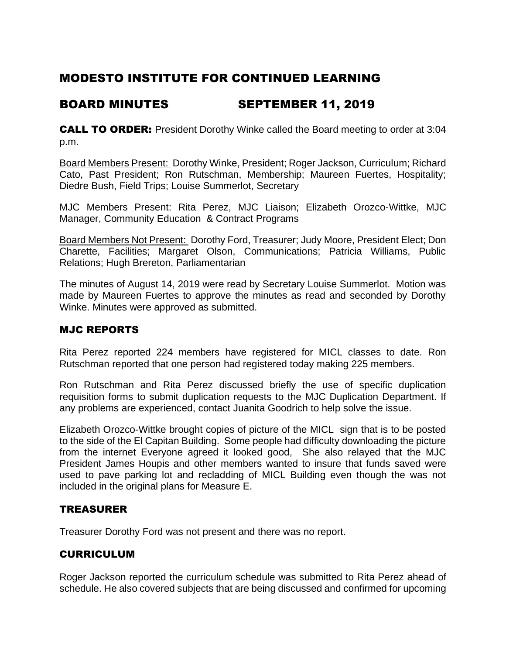# MODESTO INSTITUTE FOR CONTINUED LEARNING

## BOARD MINUTES SEPTEMBER 11, 2019

**CALL TO ORDER:** President Dorothy Winke called the Board meeting to order at 3:04 p.m.

Board Members Present: Dorothy Winke, President; Roger Jackson, Curriculum; Richard Cato, Past President; Ron Rutschman, Membership; Maureen Fuertes, Hospitality; Diedre Bush, Field Trips; Louise Summerlot, Secretary

MJC Members Present: Rita Perez, MJC Liaison; Elizabeth Orozco-Wittke, MJC Manager, Community Education & Contract Programs

Board Members Not Present: Dorothy Ford, Treasurer; Judy Moore, President Elect; Don Charette, Facilities; Margaret Olson, Communications; Patricia Williams, Public Relations; Hugh Brereton, Parliamentarian

The minutes of August 14, 2019 were read by Secretary Louise Summerlot. Motion was made by Maureen Fuertes to approve the minutes as read and seconded by Dorothy Winke. Minutes were approved as submitted.

## MJC REPORTS

Rita Perez reported 224 members have registered for MICL classes to date. Ron Rutschman reported that one person had registered today making 225 members.

Ron Rutschman and Rita Perez discussed briefly the use of specific duplication requisition forms to submit duplication requests to the MJC Duplication Department. If any problems are experienced, contact Juanita Goodrich to help solve the issue.

Elizabeth Orozco-Wittke brought copies of picture of the MICL sign that is to be posted to the side of the El Capitan Building. Some people had difficulty downloading the picture from the internet Everyone agreed it looked good, She also relayed that the MJC President James Houpis and other members wanted to insure that funds saved were used to pave parking lot and recladding of MICL Building even though the was not included in the original plans for Measure E.

## TREASURER

Treasurer Dorothy Ford was not present and there was no report.

## CURRICULUM

Roger Jackson reported the curriculum schedule was submitted to Rita Perez ahead of schedule. He also covered subjects that are being discussed and confirmed for upcoming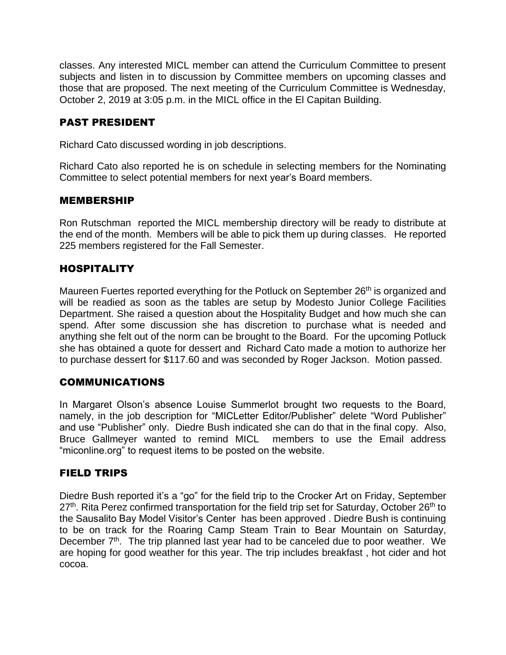classes. Any interested MICL member can attend the Curriculum Committee to present subjects and listen in to discussion by Committee members on upcoming classes and those that are proposed. The next meeting of the Curriculum Committee is Wednesday, October 2, 2019 at 3:05 p.m. in the MICL office in the El Capitan Building.

## PAST PRESIDENT

Richard Cato discussed wording in job descriptions.

Richard Cato also reported he is on schedule in selecting members for the Nominating Committee to select potential members for next year's Board members.

#### MEMBERSHIP

Ron Rutschman reported the MICL membership directory will be ready to distribute at the end of the month. Members will be able to pick them up during classes. He reported 225 members registered for the Fall Semester.

## HOSPITALITY

Maureen Fuertes reported everything for the Potluck on September 26<sup>th</sup> is organized and will be readied as soon as the tables are setup by Modesto Junior College Facilities Department. She raised a question about the Hospitality Budget and how much she can spend. After some discussion she has discretion to purchase what is needed and anything she felt out of the norm can be brought to the Board. For the upcoming Potluck she has obtained a quote for dessert and Richard Cato made a motion to authorize her to purchase dessert for \$117.60 and was seconded by Roger Jackson. Motion passed.

## COMMUNICATIONS

In Margaret Olson's absence Louise Summerlot brought two requests to the Board, namely, in the job description for "MICLetter Editor/Publisher" delete "Word Publisher" and use "Publisher" only. Diedre Bush indicated she can do that in the final copy. Also, Bruce Gallmeyer wanted to remind MICL members to use the Email address "miconline.org" to request items to be posted on the website.

#### FIELD TRIPS

Diedre Bush reported it's a "go" for the field trip to the Crocker Art on Friday, September 27<sup>th</sup>. Rita Perez confirmed transportation for the field trip set for Saturday, October 26<sup>th</sup> to the Sausalito Bay Model Visitor's Center has been approved . Diedre Bush is continuing to be on track for the Roaring Camp Steam Train to Bear Mountain on Saturday, December  $7<sup>th</sup>$ . The trip planned last year had to be canceled due to poor weather. We are hoping for good weather for this year. The trip includes breakfast , hot cider and hot cocoa.